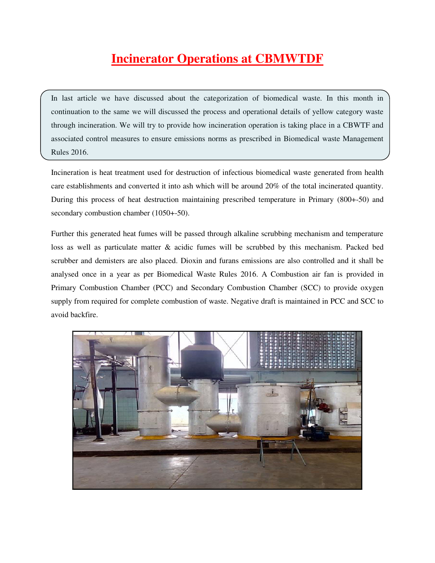# **Incinerator Operations at CBMWTDF**

In last article we have discussed about the categorization of biomedical waste. In this month in continuation to the same we will discussed the process and operational details of yellow category waste through incineration. We will try to provide how incineration operation is taking place in a CBWTF and associated control measures to ensure emissions norms as prescribed in Biomedical waste Management Rules 2016.

Incineration is heat treatment used for destruction of infectious biomedical waste generated from health care establishments and converted it into ash which will be around 20% of the total incinerated quantity. During this process of heat destruction maintaining prescribed temperature in Primary (800+-50) and secondary combustion chamber (1050+-50).

Further this generated heat fumes will be passed through alkaline scrubbing mechanism and temperature loss as well as particulate matter & acidic fumes will be scrubbed by this mechanism. Packed bed scrubber and demisters are also placed. Dioxin and furans emissions are also controlled and it shall be analysed once in a year as per Biomedical Waste Rules 2016. A Combustion air fan is provided in Primary Combustion Chamber (PCC) and Secondary Combustion Chamber (SCC) to provide oxygen supply from required for complete combustion of waste. Negative draft is maintained in PCC and SCC to avoid backfire.

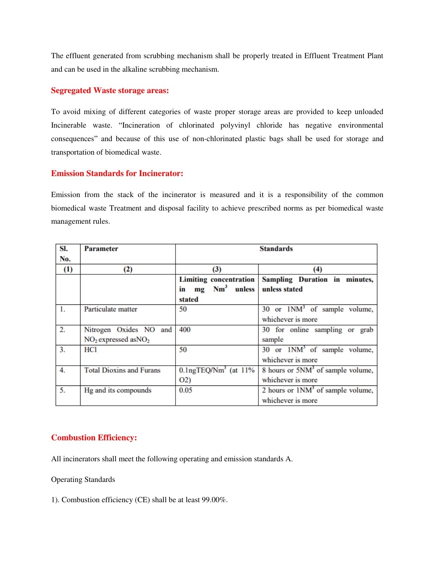The effluent generated from scrubbing mechanism shall be properly treated in Effluent Treatment Plant and can be used in the alkaline scrubbing mechanism.

#### **Segregated Waste storage areas:**

To avoid mixing of different categories of waste proper storage areas are provided to keep unloaded Incinerable waste. "Incineration of chlorinated polyvinyl chloride has negative environmental consequences" and because of this use of non-chlorinated plastic bags shall be used for storage and transportation of biomedical waste.

#### **Emission Standards for Incinerator:**

Emission from the stack of the incinerator is measured and it is a responsibility of the common biomedical waste Treatment and disposal facility to achieve prescribed norms as per biomedical waste management rules.

| SI. | <b>Parameter</b>                | <b>Standards</b>                     |                                               |
|-----|---------------------------------|--------------------------------------|-----------------------------------------------|
| No. |                                 |                                      |                                               |
| (1) | (2)                             | (3)                                  | (4)                                           |
|     |                                 | <b>Limiting concentration</b>        | Sampling Duration in minutes,                 |
|     |                                 | in mg Nm <sup>3</sup> unless         | unless stated                                 |
|     |                                 | stated                               |                                               |
| 1.  | Particulate matter              | 50                                   | 30 or $1NM^3$ of sample volume,               |
|     |                                 |                                      | whichever is more                             |
| 2.  | Nitrogen Oxides NO and          | 400                                  | 30 for online sampling or grab                |
|     | $NO2$ expressed as $NO2$        |                                      | sample                                        |
| 3.  | HCl                             | 50                                   | 30 or $1NM3$ of sample volume,                |
|     |                                 |                                      | whichever is more                             |
| 4.  | <b>Total Dioxins and Furans</b> | $0.1$ ngTEQ/Nm <sup>3</sup> (at 11%) | 8 hours or 5NM <sup>3</sup> of sample volume, |
|     |                                 | O(2)                                 | whichever is more                             |
| 5.  | Hg and its compounds            | 0.05                                 | 2 hours or $1NM3$ of sample volume,           |
|     |                                 |                                      | whichever is more                             |

### **Combustion Efficiency:**

All incinerators shall meet the following operating and emission standards A.

Operating Standards

1). Combustion efficiency (CE) shall be at least 99.00%.